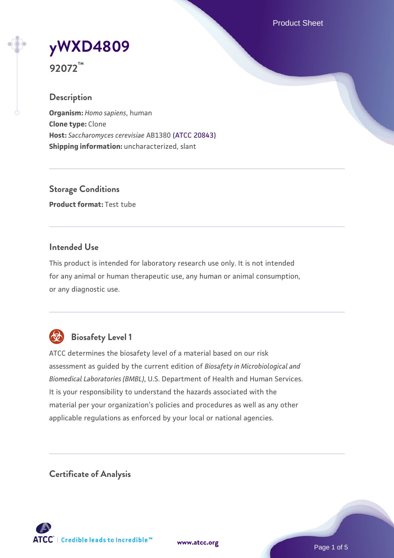Product Sheet

# **[yWXD4809](https://www.atcc.org/products/92072)**

**92072™**

## **Description**

**Organism:** *Homo sapiens*, human **Clone type:** Clone **Host:** *Saccharomyces cerevisiae* AB1380 [\(ATCC 20843\)](https://www.atcc.org/products/20843) **Shipping information:** uncharacterized, slant

**Storage Conditions Product format:** Test tube

## **Intended Use**

This product is intended for laboratory research use only. It is not intended for any animal or human therapeutic use, any human or animal consumption, or any diagnostic use.



# **Biosafety Level 1**

ATCC determines the biosafety level of a material based on our risk assessment as guided by the current edition of *Biosafety in Microbiological and Biomedical Laboratories (BMBL)*, U.S. Department of Health and Human Services. It is your responsibility to understand the hazards associated with the material per your organization's policies and procedures as well as any other applicable regulations as enforced by your local or national agencies.

**Certificate of Analysis**

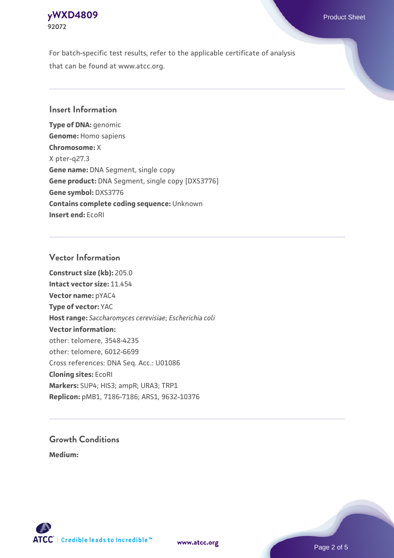## **[yWXD4809](https://www.atcc.org/products/92072)** Product Sheet **92072**

For batch-specific test results, refer to the applicable certificate of analysis that can be found at www.atcc.org.

## **Insert Information**

**Type of DNA:** genomic **Genome:** Homo sapiens **Chromosome:** X X pter-q27.3 **Gene name:** DNA Segment, single copy **Gene product:** DNA Segment, single copy [DXS3776] **Gene symbol:** DXS3776 **Contains complete coding sequence:** Unknown **Insert end:** EcoRI

## **Vector Information**

**Construct size (kb):** 205.0 **Intact vector size:** 11.454 **Vector name:** pYAC4 **Type of vector:** YAC **Host range:** *Saccharomyces cerevisiae*; *Escherichia coli* **Vector information:** other: telomere, 3548-4235 other: telomere, 6012-6699 Cross references: DNA Seq. Acc.: U01086 **Cloning sites:** EcoRI **Markers:** SUP4; HIS3; ampR; URA3; TRP1 **Replicon:** pMB1, 7186-7186; ARS1, 9632-10376

# **Growth Conditions**

**Medium:** 



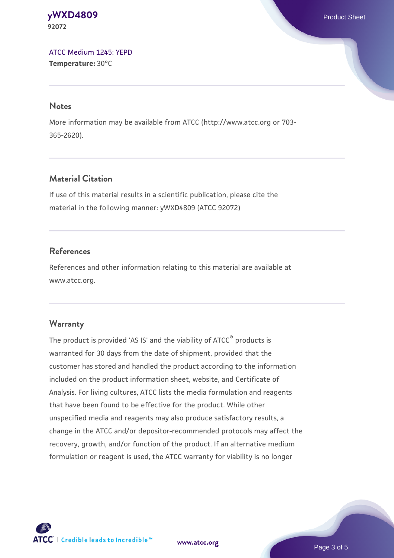#### **[yWXD4809](https://www.atcc.org/products/92072)** Product Sheet **92072**

[ATCC Medium 1245: YEPD](https://www.atcc.org/-/media/product-assets/documents/microbial-media-formulations/1/2/4/5/atcc-medium-1245.pdf?rev=705ca55d1b6f490a808a965d5c072196) **Temperature:** 30°C

#### **Notes**

More information may be available from ATCC (http://www.atcc.org or 703- 365-2620).

## **Material Citation**

If use of this material results in a scientific publication, please cite the material in the following manner: yWXD4809 (ATCC 92072)

## **References**

References and other information relating to this material are available at www.atcc.org.

#### **Warranty**

The product is provided 'AS IS' and the viability of ATCC® products is warranted for 30 days from the date of shipment, provided that the customer has stored and handled the product according to the information included on the product information sheet, website, and Certificate of Analysis. For living cultures, ATCC lists the media formulation and reagents that have been found to be effective for the product. While other unspecified media and reagents may also produce satisfactory results, a change in the ATCC and/or depositor-recommended protocols may affect the recovery, growth, and/or function of the product. If an alternative medium formulation or reagent is used, the ATCC warranty for viability is no longer



**[www.atcc.org](http://www.atcc.org)**

Page 3 of 5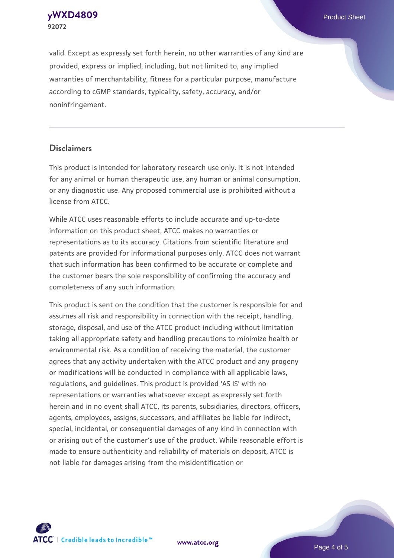**92072**

valid. Except as expressly set forth herein, no other warranties of any kind are provided, express or implied, including, but not limited to, any implied warranties of merchantability, fitness for a particular purpose, manufacture according to cGMP standards, typicality, safety, accuracy, and/or noninfringement.

#### **Disclaimers**

This product is intended for laboratory research use only. It is not intended for any animal or human therapeutic use, any human or animal consumption, or any diagnostic use. Any proposed commercial use is prohibited without a license from ATCC.

While ATCC uses reasonable efforts to include accurate and up-to-date information on this product sheet, ATCC makes no warranties or representations as to its accuracy. Citations from scientific literature and patents are provided for informational purposes only. ATCC does not warrant that such information has been confirmed to be accurate or complete and the customer bears the sole responsibility of confirming the accuracy and completeness of any such information.

This product is sent on the condition that the customer is responsible for and assumes all risk and responsibility in connection with the receipt, handling, storage, disposal, and use of the ATCC product including without limitation taking all appropriate safety and handling precautions to minimize health or environmental risk. As a condition of receiving the material, the customer agrees that any activity undertaken with the ATCC product and any progeny or modifications will be conducted in compliance with all applicable laws, regulations, and guidelines. This product is provided 'AS IS' with no representations or warranties whatsoever except as expressly set forth herein and in no event shall ATCC, its parents, subsidiaries, directors, officers, agents, employees, assigns, successors, and affiliates be liable for indirect, special, incidental, or consequential damages of any kind in connection with or arising out of the customer's use of the product. While reasonable effort is made to ensure authenticity and reliability of materials on deposit, ATCC is not liable for damages arising from the misidentification or



**[www.atcc.org](http://www.atcc.org)**

Page 4 of 5